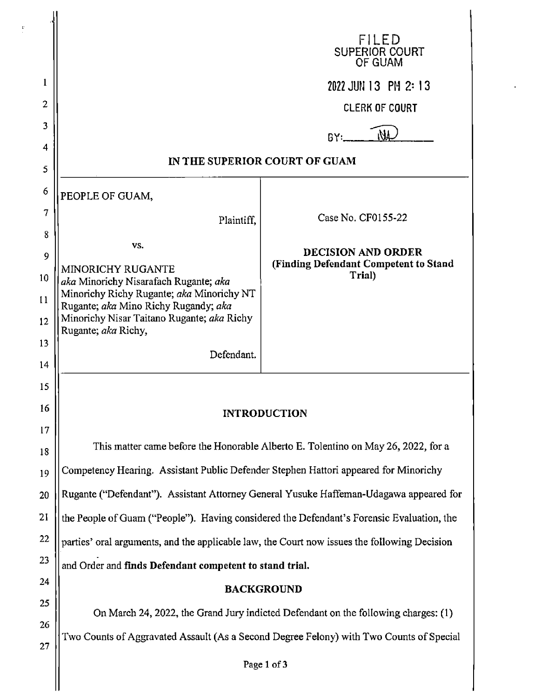|                |                                                                                              | FILED<br>SUPERIOR COURT<br>OF GUAM                                 |
|----------------|----------------------------------------------------------------------------------------------|--------------------------------------------------------------------|
| 1              |                                                                                              | 2022 JUN 13 PM 2:13                                                |
| $\overline{2}$ |                                                                                              | <b>CLERK OF COURT</b>                                              |
| 3              |                                                                                              | ıИГ<br>B۲۰ <u></u>                                                 |
| 4              |                                                                                              |                                                                    |
| 5              | IN THE SUPERIOR COURT OF GUAM                                                                |                                                                    |
| 6              | PEOPLE OF GUAM,                                                                              |                                                                    |
| 7              | Plaintiff,                                                                                   | Case No. CF0155-22                                                 |
| 8              | VS.                                                                                          |                                                                    |
| 9              | <b>MINORICHY RUGANTE</b>                                                                     | <b>DECISION AND ORDER</b><br>(Finding Defendant Competent to Stand |
| 10             | aka Minorichy Nisarafach Rugante; aka                                                        | Trial)                                                             |
| 11             | Minorichy Richy Rugante; aka Minorichy NT<br>Rugante; aka Mino Richy Rugandy; aka            |                                                                    |
| 12             | Minorichy Nisar Taitano Rugante; aka Richy<br>Rugante; aka Richy,                            |                                                                    |
| 13             | Defendant.                                                                                   |                                                                    |
| 14             |                                                                                              |                                                                    |
| 15             |                                                                                              |                                                                    |
| 16             | <b>INTRODUCTION</b>                                                                          |                                                                    |
| 17             | This matter came before the Honorable Alberto E. Tolentino on May 26, 2022, for a            |                                                                    |
| 18             |                                                                                              |                                                                    |
| 19             | Competency Hearing. Assistant Public Defender Stephen Hattori appeared for Minorichy         |                                                                    |
| 20             | Rugante ("Defendant"). Assistant Attorney General Yusuke Haffeman-Udagawa appeared for       |                                                                    |
| 21             | the People of Guam ("People"). Having considered the Defendant's Forensic Evaluation, the    |                                                                    |
| 22             | parties' oral arguments, and the applicable law, the Court now issues the following Decision |                                                                    |
| 23             | and Order and finds Defendant competent to stand trial.                                      |                                                                    |
| 24             | <b>BACKGROUND</b>                                                                            |                                                                    |
| 25             | On March 24, 2022, the Grand Jury indicted Defendant on the following charges: (1)           |                                                                    |
| 26<br>27       | Two Counts of Aggravated Assault (As a Second Degree Felony) with Two Counts of Special      |                                                                    |
|                |                                                                                              |                                                                    |

 $\ddot{\phantom{0}}$ 

 $\frac{1}{\epsilon}$ 

**Page 1** of 3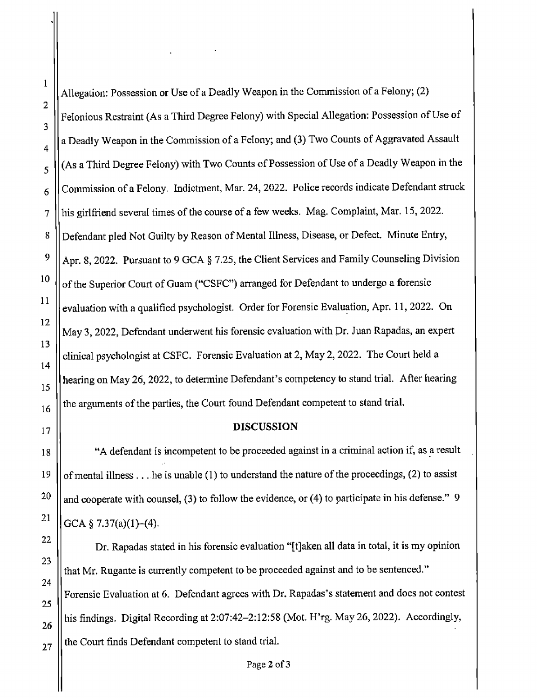I

I

I

I

Allegation: Possession or Use of a Deadly Weapon in the Commission of a Felony; (2) Felonious Restraint (As a Third Degree Felony) with Special Allegation: Possession of Use of  $4 \parallel a$  Deadly Weapon in the Commission of a Felony; and (3) Two Counts of Aggravated Assault  $5$   $\parallel$  (As a Third Degree Felony) with Two Counts of Possession of Use of a Deadly Weapon in the | Commission of a Felony. Indictment, Mar. 24, 2022. Police records indicate Defendant struck I 7 || his girlfriend several times of the course of a few weeks. Mag. Complaint, Mar. 15, 2022. 8 | Defendant pled Not Guilty by Reason of Mental Illness, Disease, or Defect. Minute Entry,  $9 \parallel$  Apr. 8, 2022. Pursuant to 9 GCA § 7.25, the Client Services and Family Counseling Division 10  $\parallel$  of the Superior Court of Guam ("CSFC") arranged for Defendant to undergo a forensic evaluation with a qualified psychologist. Order for Forensic Evaluation, Apr. 11, 2022. On May 3, 2022, Defendant underwent his forensic evaluation with Dr. Juan Rapadas, an expert clinical psychologist at CSFC. Forensic Evaluation at 2, May 2, 2022. The Court held a 15 || hearing on May 26, 2022, to determine Defendant's competency to stand trial. After hearing I  $\|16\|$  the arguments of the parties, the Court found Defendant competent to stand trial.

I

I

 $\vert$ 

I

I

## <sup>17</sup> **DISCUSSION**

18 "A defendant is incompetent to be proceeded against in a criminal action if, as a result 19  $\parallel$  of mental illness ... he is unable (1) to understand the nature of the proceedings, (2) to assist and cooperate with counsel, (3) to follow the evidence, or (4) to participate in his defense." 9  $GCA \$   $\frac{8}{3}$  7.37(a)(1)-(4).

Dr. Rapadas stated in his forensic evaluation "[t]aken all data in total, it is my opinion I that Mr. Rugante is currently competent to be proceeded against and to be sentenced." Forensic Evaluation at 6. Defendant agrees with Dr. Rapadas's statement and does not contest I his findings. Digital Recording at 2:07:42-2:12:58 (Mot. H'rg. May 26, 2022). Accordingly,  $_{27}$  || the Court finds Defendant competent to stand trial. I